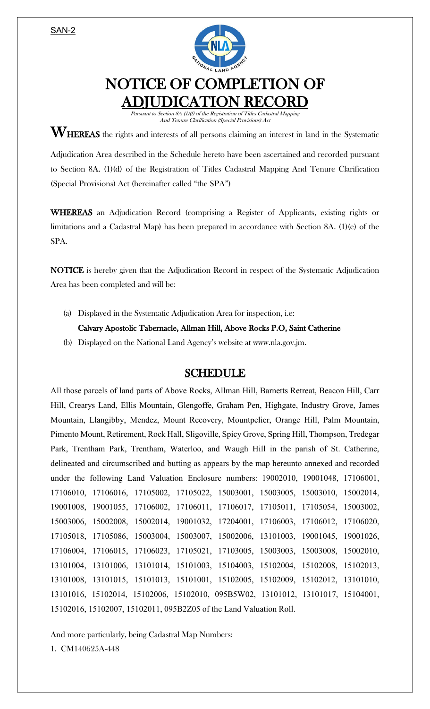SAN-2



## NOTICE OF COMPLETION OF ADJUDICATION RECORD

Pursuant to Section 8A (1)(f) of the Registration of Titles Cadastral Mapping And Tenure Clarification (Special Provisions) Act

 $\mathbf{W}_{\text{HEREAS}}$  the rights and interests of all persons claiming an interest in land in the Systematic

Adjudication Area described in the Schedule hereto have been ascertained and recorded pursuant to Section 8A. (1)(d) of the Registration of Titles Cadastral Mapping And Tenure Clarification (Special Provisions) Act (hereinafter called "the SPA")

WHEREAS an Adjudication Record (comprising a Register of Applicants, existing rights or limitations and a Cadastral Map) has been prepared in accordance with Section 8A. (1)(e) of the SPA.

NOTICE is hereby given that the Adjudication Record in respect of the Systematic Adjudication Area has been completed and will be:

(a) Displayed in the Systematic Adjudication Area for inspection, i.e:

## Calvary Apostolic Tabernacle, Allman Hill, Above Rocks P.O, Saint Catherine

(b) Displayed on the National Land Agency's website at www.nla.gov.jm.

## SCHEDULE

All those parcels of land parts of Above Rocks, Allman Hill, Barnetts Retreat, Beacon Hill, Carr Hill, Crearys Land, Ellis Mountain, Glengoffe, Graham Pen, Highgate, Industry Grove, James Mountain, Llangibby, Mendez, Mount Recovery, Mountpelier, Orange Hill, Palm Mountain, Pimento Mount, Retirement, Rock Hall, Sligoville, Spicy Grove, Spring Hill, Thompson, Tredegar Park, Trentham Park, Trentham, Waterloo, and Waugh Hill in the parish of St. Catherine, delineated and circumscribed and butting as appears by the map hereunto annexed and recorded under the following Land Valuation Enclosure numbers: 19002010, 19001048, 17106001, 17106010, 17106016, 17105002, 17105022, 15003001, 15003005, 15003010, 15002014, 19001008, 19001055, 17106002, 17106011, 17106017, 17105011, 17105054, 15003002, 15003006, 15002008, 15002014, 19001032, 17204001, 17106003, 17106012, 17106020, 17105018, 17105086, 15003004, 15003007, 15002006, 13101003, 19001045, 19001026, 17106004, 17106015, 17106023, 17105021, 17103005, 15003003, 15003008, 15002010, 13101004, 13101006, 13101014, 15101003, 15104003, 15102004, 15102008, 15102013, 13101008, 13101015, 15101013, 15101001, 15102005, 15102009, 15102012, 13101010, 13101016, 15102014, 15102006, 15102010, 095B5W02, 13101012, 13101017, 15104001, 15102016, 15102007, 15102011, 095B2Z05 of the Land Valuation Roll.

And more particularly, being Cadastral Map Numbers:

1. CM140625A-448